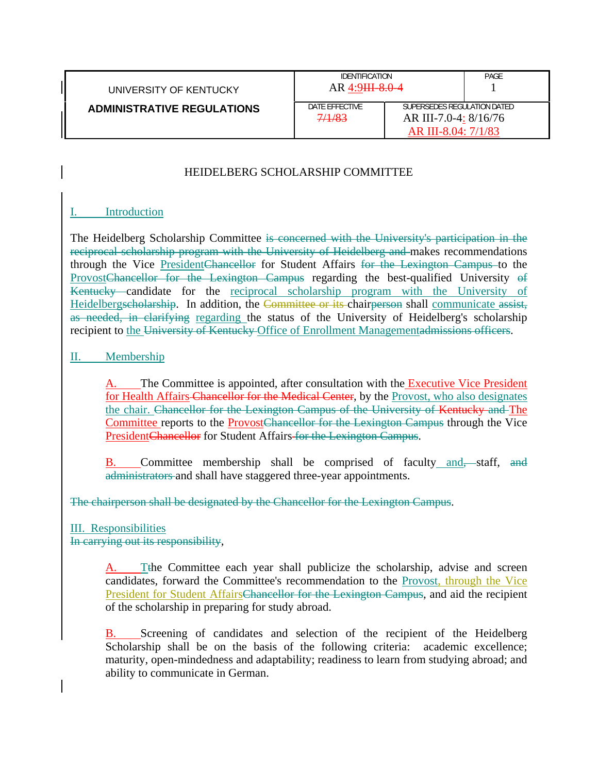| UNIVERSITY OF KENTUCKY            | <b>IDENTIFICATION</b><br>$AR 4:9HH-8.0-4$ |                                                                             | PAGE |
|-----------------------------------|-------------------------------------------|-----------------------------------------------------------------------------|------|
| <b>ADMINISTRATIVE REGULATIONS</b> | DATE EFFECTIVE<br>7/1/83                  | SUPERSEDES REGULATION DATED<br>AR III-7.0-4: 8/16/76<br>AR III-8.04: 7/1/83 |      |

## HEIDELBERG SCHOLARSHIP COMMITTEE

## I. Introduction

The Heidelberg Scholarship Committee is concerned with the University's participation in the reciprocal scholarship program with the University of Heidelberg and makes recommendations through the Vice PresidentChancellor for Student Affairs for the Lexington Campus to the ProvostChancellor for the Lexington Campus regarding the best-qualified University of Kentucky candidate for the reciprocal scholarship program with the University of Heidelbergscholarship. In addition, the Committee or its chairperson shall communicate assist, as needed, in clarifying regarding the status of the University of Heidelberg's scholarship recipient to the University of Kentucky Office of Enrollment Managementadmissions officers.

## II. Membership

The Committee is appointed, after consultation with the Executive Vice President for Health Affairs Chancellor for the Medical Center, by the Provost, who also designates the chair. Chancellor for the Lexington Campus of the University of Kentucky and The Committee reports to the ProvostChancellor for the Lexington Campus through the Vice PresidentChancellor for Student Affairs for the Lexington Campus.

B. Committee membership shall be comprised of faculty and—staff, and administrators and shall have staggered three-year appointments.

The chairperson shall be designated by the Chancellor for the Lexington Campus.

## III. Responsibilities

In carrying out its responsibility,

The Committee each year shall publicize the scholarship, advise and screen candidates, forward the Committee's recommendation to the Provost, through the Vice President for Student AffairsChancellor for the Lexington Campus, and aid the recipient of the scholarship in preparing for study abroad.

B. Screening of candidates and selection of the recipient of the Heidelberg Scholarship shall be on the basis of the following criteria: academic excellence; maturity, open-mindedness and adaptability; readiness to learn from studying abroad; and ability to communicate in German.